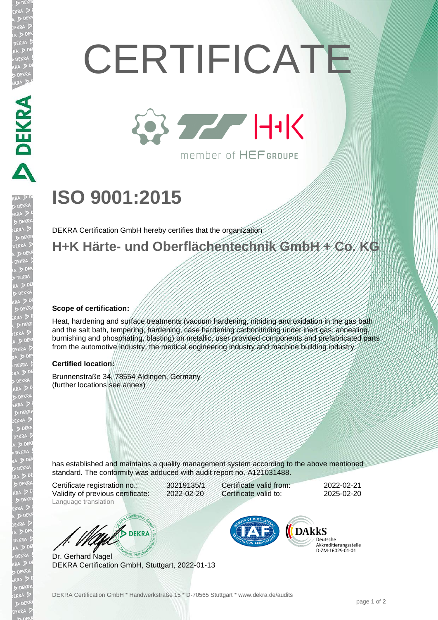# **CERTIFICATE**



member of HEFGROUPE

## **ISO 9001:2015**

DEKRA Certification GmbH hereby certifies that the organization

### **H+K Härte- und Oberflächentechnik GmbH + Co. KG**

#### **Scope of certification:**

DEKRA DEKRA

JEKR

Heat, hardening and surface treatments (vacuum hardening, nitriding and oxidation in the gas bath and the salt bath, tempering, hardening, case hardening carbonitriding under inert gas, annealing, burnishing and phosphating, blasting) on metallic, user provided components and prefabricated parts from the automotive industry, the medical engineering industry and machine building industry

#### **Certified location:**

Brunnenstraße 34, 78554 Aldingen, Germany (further locations see annex)

has established and maintains a quality management system according to the above mentioned standard. The conformity was adduced with audit report no. A121031488.

Certificate registration no.: 30219135/1 Validity of previous certificate: 2022-02-20 Language translation

Certificate valid from: 2022-02-21 Certificate valid to: 2025-02-20

DEKRA

Dr. Gerhard Nagel DEKRA Certification GmbH, Stuttgart, 2022-01-13



Deutsche Akkreditierungsstelle